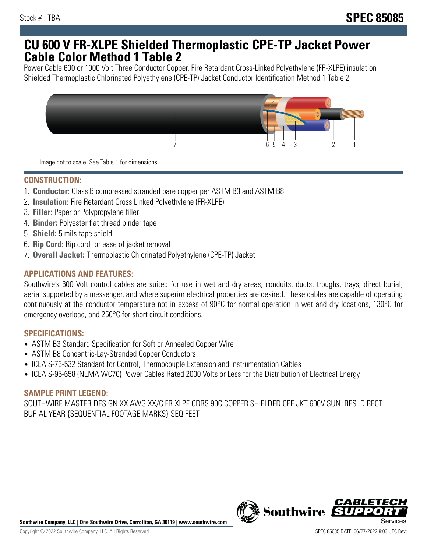## **CU 600 V FR-XLPE Shielded Thermoplastic CPE-TP Jacket Power Cable Color Method 1 Table 2**

Power Cable 600 or 1000 Volt Three Conductor Copper, Fire Retardant Cross-Linked Polyethylene (FR-XLPE) insulation Shielded Thermoplastic Chlorinated Polyethylene (CPE-TP) Jacket Conductor Identification Method 1 Table 2



Image not to scale. See Table 1 for dimensions.

## **CONSTRUCTION:**

- 1. **Conductor:** Class B compressed stranded bare copper per ASTM B3 and ASTM B8
- 2. **Insulation:** Fire Retardant Cross Linked Polyethylene (FR-XLPE)
- 3. **Filler:** Paper or Polypropylene filler
- 4. **Binder:** Polyester flat thread binder tape
- 5. **Shield:** 5 mils tape shield
- 6. **Rip Cord:** Rip cord for ease of jacket removal
- 7. **Overall Jacket:** Thermoplastic Chlorinated Polyethylene (CPE-TP) Jacket

### **APPLICATIONS AND FEATURES:**

Southwire's 600 Volt control cables are suited for use in wet and dry areas, conduits, ducts, troughs, trays, direct burial, aerial supported by a messenger, and where superior electrical properties are desired. These cables are capable of operating continuously at the conductor temperature not in excess of 90°C for normal operation in wet and dry locations, 130°C for emergency overload, and 250°C for short circuit conditions.

#### **SPECIFICATIONS:**

- ASTM B3 Standard Specification for Soft or Annealed Copper Wire
- ASTM B8 Concentric-Lay-Stranded Copper Conductors
- ICEA S-73-532 Standard for Control, Thermocouple Extension and Instrumentation Cables
- ICEA S-95-658 (NEMA WC70) Power Cables Rated 2000 Volts or Less for the Distribution of Electrical Energy

#### **SAMPLE PRINT LEGEND:**

SOUTHWIRE MASTER-DESIGN XX AWG XX/C FR-XLPE CDRS 90C COPPER SHIELDED CPE JKT 600V SUN. RES. DIRECT BURIAL YEAR {SEQUENTIAL FOOTAGE MARKS} SEQ FEET